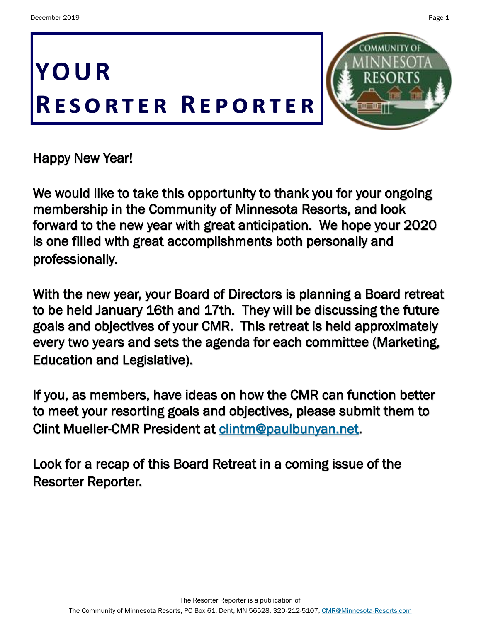



Happy New Year!

We would like to take this opportunity to thank you for your ongoing membership in the Community of Minnesota Resorts, and look forward to the new year with great anticipation. We hope your 2020 is one filled with great accomplishments both personally and professionally.

With the new year, your Board of Directors is planning a Board retreat to be held January 16th and 17th. They will be discussing the future goals and objectives of your CMR. This retreat is held approximately every two years and sets the agenda for each committee (Marketing, Education and Legislative).

If you, as members, have ideas on how the CMR can function better to meet your resorting goals and objectives, please submit them to Clint Mueller-CMR President at [clintm@paulbunyan.net.](mailto:clintm@paulbunyan.net?subject=Board%20Retreat)

Look for a recap of this Board Retreat in a coming issue of the Resorter Reporter.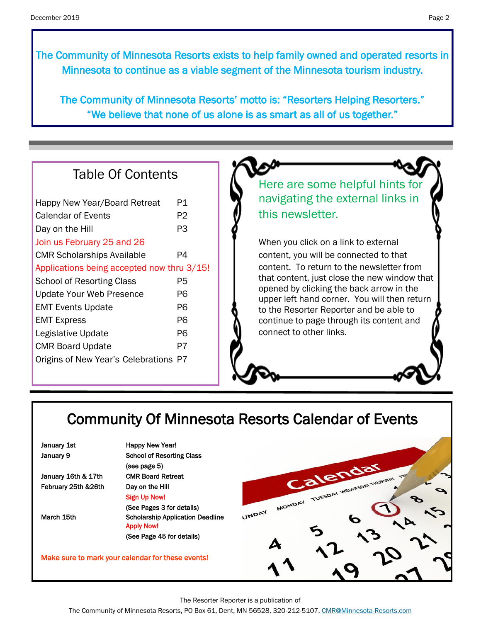The Community of Minnesota Resorts exists to help family owned and operated resorts in Minnesota to continue as a viable segment of the Minnesota tourism industry.

The Community of Minnesota Resorts' motto is: "Resorters Helping Resorters." "We believe that none of us alone is as smart as all of us together."

## Table Of Contents

| Happy New Year/Board Retreat               | P1 |
|--------------------------------------------|----|
| Calendar of Events                         | P2 |
| Day on the Hill                            | P3 |
| Join us February 25 and 26                 |    |
| <b>CMR Scholarships Available</b>          | P4 |
| Applications being accepted now thru 3/15! |    |
| <b>School of Resorting Class</b>           | P5 |
| <b>Update Your Web Presence</b>            | Р6 |
| <b>EMT Events Update</b>                   | P6 |
| <b>EMT Express</b>                         | Р6 |
| Legislative Update                         | P6 |
| <b>CMR Board Update</b>                    | P7 |
| Origins of New Year's Celebrations P7      |    |
|                                            |    |

Here are some helpful hints for navigating the external links in this newsletter.

When you click on a link to external content, you will be connected to that content. To return to the newsletter from that content, just close the new window that opened by clicking the back arrow in the upper left hand corner. You will then return to the Resorter Reporter and be able to continue to page through its content and connect to other links.

# Community Of Minnesota Resorts Calendar of Events

| January 1st |  |
|-------------|--|
| January 9   |  |

January 16th & 17th CMR Board Retreat February 25th &26th Day on the Hill

Happy New Year! School of Resorting Class (see page 5) Sign Up Now! (See Pages 3 for details) March 15th Scholarship Application Deadline Apply Now! (See Page 45 for details)

Make sure to mark your calendar for these events!



The Resorter Reporter is a publication of

The Community of Minnesota Resorts, PO Box 61, Dent, MN 56528, 320-212-5107, [CMR@Minnesota-Resorts.com](mailto:CMR@Minnesota-Resorts.com?subject=Community%20of%20Minnesota%20Resorts)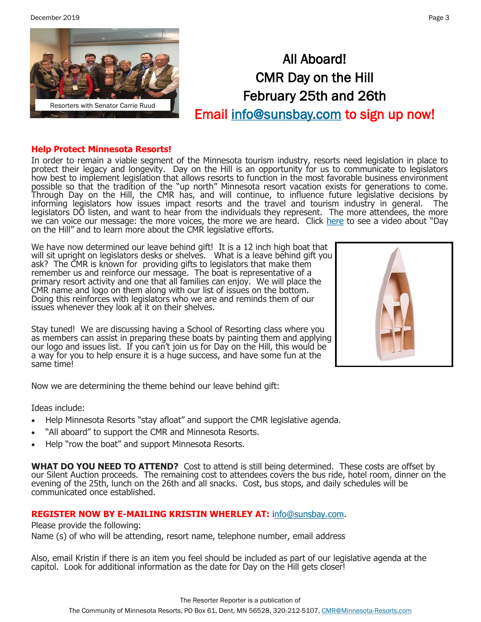December 2019 Page 3



# All Aboard! CMR Day on the Hill February 25th and 26th Email [info@sunsbay.com t](mailto:info@sunsbay.com?subject=Day%20On%20The%20Hill%20Sign-Up)o sign up now!

#### **Help Protect Minnesota Resorts!**

In order to remain a viable segment of the Minnesota tourism industry, resorts need legislation in place to protect their legacy and longevity. Day on the Hill is an opportunity for us to communicate to legislators how best to implement legislation that allows resorts to function in the most favorable business environment possible so that the tradition of the "up north" Minnesota resort vacation exists for generations to come. Through Day on the Hill, the CMR has, and will continue, to influence future legislative decisions by informing legislators how issues impact resorts and the travel and tourism industry in general. The legislators DO listen, and want to hear from the individuals they represent. The more attendees, the more we can voice our message: the more voices, the more we are heard. Click [here](https://minnesota-resorts.com/membership-legislative/) to see a video about "Day on the Hill" and to learn more about the CMR legislative efforts.

We have now determined our leave behind gift! It is a 12 inch high boat that will sit upright on legislators desks or shelves. What is a leave behind gift you ask? The CMR is known for providing gifts to legislators that make them remember us and reinforce our message. The boat is representative of a primary resort activity and one that all families can enjoy. We will place the CMR name and logo on them along with our list of issues on the bottom. Doing this reinforces with legislators who we are and reminds them of our issues whenever they look at it on their shelves.

Stay tuned! We are discussing having a School of Resorting class where you as members can assist in preparing these boats by painting them and applying our logo and issues list. If you can't join us for Day on the Hill, this would be a way for you to help ensure it is a huge success, and have some fun at the same time!



Now we are determining the theme behind our leave behind gift:

Ideas include:

- Help Minnesota Resorts "stay afloat" and support the CMR legislative agenda.
- "All aboard" to support the CMR and Minnesota Resorts.
- Help "row the boat" and support Minnesota Resorts.

**WHAT DO YOU NEED TO ATTEND?** Cost to attend is still being determined. These costs are offset by our Silent Auction proceeds. The remaining cost to attendees covers the bus ride, hotel room, dinner on the evening of the 25th, lunch on the 26th and all snacks. Cost, bus stops, and daily schedules will be communicated once established.

## **REGISTER NOW BY E-MAILING KRISTIN WHERLEY AT:** [info@sunsbay.com.](mailto:info@sunsbay.com?subject=Day%20On%20The%20Hill)

Please provide the following:

Name (s) of who will be attending, resort name, telephone number, email address

Also, email Kristin if there is an item you feel should be included as part of our legislative agenda at the capitol. Look for additional information as the date for Day on the Hill gets closer!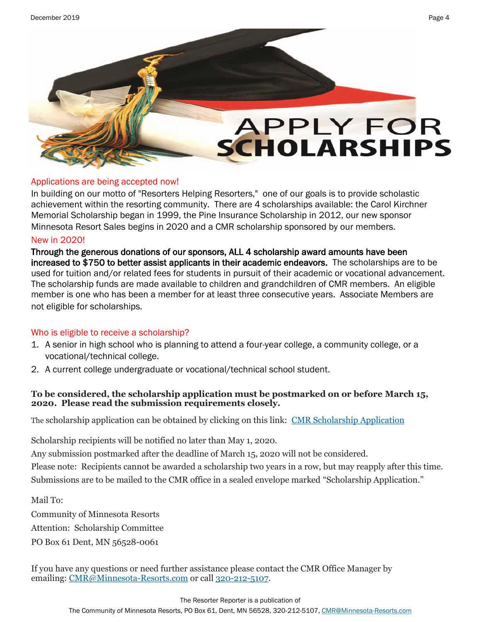# **APPLY FOR SCHOLARSHIPS**

## Applications are being accepted now!

In building on our motto of "Resorters Helping Resorters," one of our goals is to provide scholastic achievement within the resorting community. There are 4 scholarships available: the Carol Kirchner Memorial Scholarship began in 1999, the Pine Insurance Scholarship in 2012, our new sponsor Minnesota Resort Sales begins in 2020 and a CMR scholarship sponsored by our members.

## New in 2020!

Through the generous donations of our sponsors, ALL 4 scholarship award amounts have been increased to \$750 to better assist applicants in their academic endeavors. The scholarships are to be used for tuition and/or related fees for students in pursuit of their academic or vocational advancement. The scholarship funds are made available to children and grandchildren of CMR members. An eligible member is one who has been a member for at least three consecutive years. Associate Members are not eligible for scholarships.

## Who is eligible to receive a scholarship?

- 1. A senior in high school who is planning to attend a four-year college, a community college, or a vocational/technical college.
- 2. A current college undergraduate or vocational/technical school student.

## **To be considered, the scholarship application must be postmarked on or before March 15, 2020. Please read the submission requirements closely.**

The scholarship application can be obtained by clicking on this link: [CMR Scholarship Application](http://minnesota-resorts.com/wp-content/uploads/2019/11/Scholarship-Application-2019.pdf)

Scholarship recipients will be notified no later than May 1, 2020.

Any submission postmarked after the deadline of March 15, 2020 will not be considered.

Please note: Recipients cannot be awarded a scholarship two years in a row, but may reapply after this time. Submissions are to be mailed to the CMR office in a sealed envelope marked "Scholarship Application."

Mail To:

Community of Minnesota Resorts Attention: Scholarship Committee PO Box 61 Dent, MN 56528-0061

If you have any questions or need further assistance please contact the CMR Office Manager by emailing: [CMR@Minnesota](mailto:cmr@minnesota-resorts.com)-Resorts.com or call 320-212-[5107.](tel:(320)%20212-5107)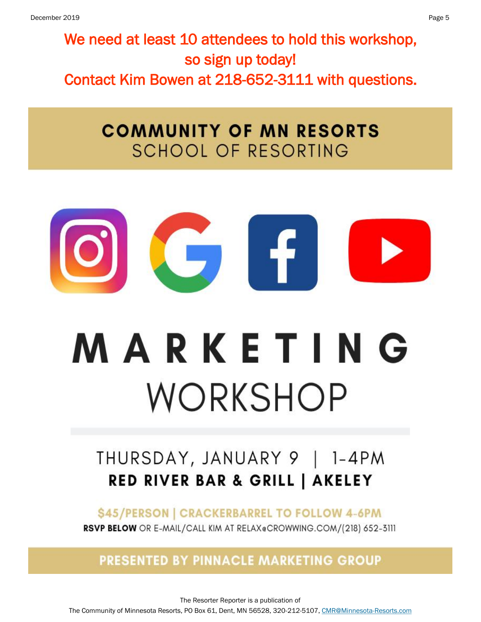We need at least 10 attendees to hold this workshop, so sign up today! Contact Kim Bowen at 218-652-3111 with questions.

# **COMMUNITY OF MN RESORTS SCHOOL OF RESORTING**

$$
\begin{array}{c} \textbf{O} \\ \textbf{O} \end{array}
$$

# **MARKETING** WORKSHOP

# THURSDAY, JANUARY 9 | 1-4PM **RED RIVER BAR & GRILL | AKELEY**

\$45/PERSON | CRACKERBARREL TO FOLLOW 4-6PM

RSVP BELOW OR E-MAIL/CALL KIM AT RELAX@CROWWING.COM/(218) 652-3111

**PRESENTED BY PINNACLE MARKETING GROUP** 

The Resorter Reporter is a publication of The Community of Minnesota Resorts, PO Box 61, Dent, MN 56528, 320-212-5107, [CMR@Minnesota-Resorts.com](mailto:CMR@Minnesota-Resorts.com?subject=Community%20of%20Minnesota%20Resorts)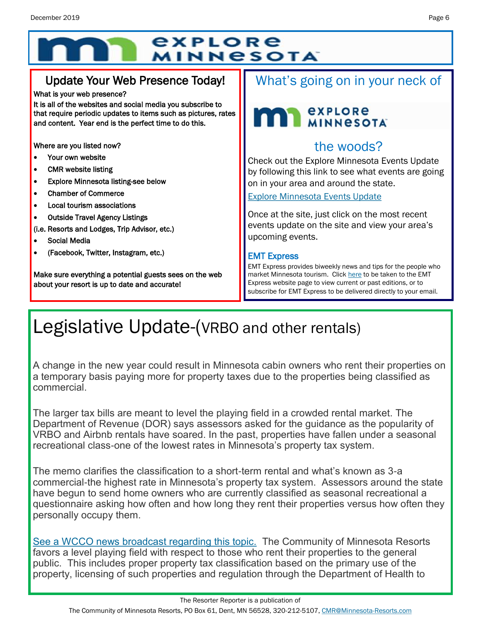# explore **MINNESOTA**

## Update Your Web Presence Today!

#### What is your web presence?

It is all of the websites and social media you subscribe to that require periodic updates to items such as pictures, rates and content. Year end is the perfect time to do this.

Where are you listed now?

- Your own website
- CMR website listing
- Explore Minnesota listing-see below
- Chamber of Commerce
- Local tourism associations
- Outside Travel Agency Listings
- (i.e. Resorts and Lodges, Trip Advisor, etc.)
- Social Media
- (Facebook, Twitter, Instagram, etc.)

Make sure everything a potential guests sees on the web about your resort is up to date and accurate!

## What's going on in your neck of

## **MAN** *explore* explore

## the woods?

Check out the Explore Minnesota Events Update by following this link to see what events are going on in your area and around the state.

[Explore Minnesota Events Update](http://www.exploreminnesota.com/newsletter-sign-up/reports/events-report/)

Once at the site, just click on the most recent events update on the site and view your area's upcoming events.

## EMT Express

EMT Express provides biweekly news and tips for the people who market Minnesota tourism. Click [here](https://mn.gov/tourism-industry/resources/emt-express/) to be taken to the EMT Express website page to view current or past editions, or to subscribe for EMT Express to be delivered directly to your email.

# Legislative Update-(VRBO and other rentals)

A change in the new year could result in Minnesota cabin owners who rent their properties on a temporary basis paying more for property taxes due to the properties being classified as commercial.

The larger tax bills are meant to level the playing field in a crowded rental market. The Department of Revenue (DOR) says assessors asked for the guidance as the popularity of VRBO and Airbnb rentals have soared. In the past, properties have fallen under a seasonal recreational class-one of the lowest rates in Minnesota's property tax system.

The memo clarifies the classification to a short-term rental and what's known as 3-a commercial-the highest rate in Minnesota's property tax system. Assessors around the state have begun to send home owners who are currently classified as seasonal recreational a questionnaire asking how often and how long they rent their properties versus how often they personally occupy them.

[See a WCCO news broadcast regarding this topic.](https://minnesota.cbslocal.com/2019/12/23/lawmaker-seeks-compromise-on-property-tax-classification-that-could-cost-cabin-owners-big/) The Community of Minnesota Resorts favors a level playing field with respect to those who rent their properties to the general public. This includes proper property tax classification based on the primary use of the property, licensing of such properties and regulation through the Department of Health to

The Community of Minnesota Resorts, PO Box 61, Dent, MN 56528, 320-212-5107, [CMR@Minnesota-Resorts.com](mailto:CMR@Minnesota-Resorts.com?subject=Community%20of%20Minnesota%20Resorts)